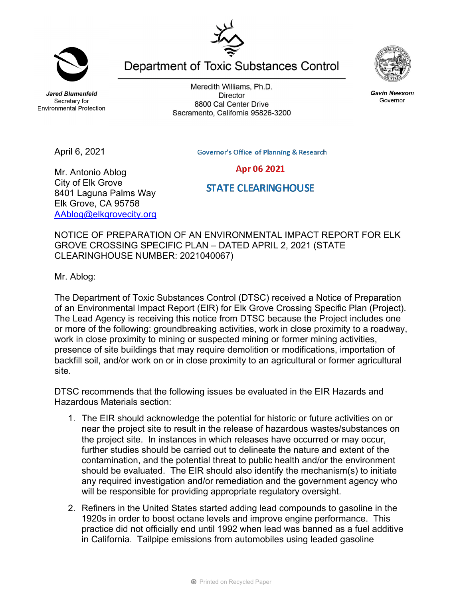**Jared Blumenfeld** Secretary for **Environmental Protection** 

April 6, 2021

Meredith Williams, Ph.D. **Director** 8800 Cal Center Drive Sacramento, California 95826-3200



## Mr. Antonio Ablog City of Elk Grove 8401 Laguna Palms Way Elk Grove, CA 95758 AAblog@elkgrovecity.org

## Apr 06 2021 **STATE CLEARING HOUSE**

NOTICE OF PREPARATION OF AN ENVIRONMENTAL IMPACT REPORT FOR ELK GROVE CROSSING SPECIFIC PLAN – DATED APRIL 2, 2021 (STATE CLEARINGHOUSE NUMBER: 2021040067)

Mr. Ablog:

The Department of Toxic Substances Control (DTSC) received a Notice of Preparation of an Environmental Impact Report (EIR) for Elk Grove Crossing Specific Plan (Project). The Lead Agency is receiving this notice from DTSC because the Project includes one or more of the following: groundbreaking activities, work in close proximity to a roadway, work in close proximity to mining or suspected mining or former mining activities, presence of site buildings that may require demolition or modifications, importation of backfill soil, and/or work on or in close proximity to an agricultural or former agricultural site.

DTSC recommends that the following issues be evaluated in the EIR Hazards and Hazardous Materials section:

- 1. The EIR should acknowledge the potential for historic or future activities on or near the project site to result in the release of hazardous wastes/substances on the project site. In instances in which releases have occurred or may occur, further studies should be carried out to delineate the nature and extent of the contamination, and the potential threat to public health and/or the environment should be evaluated. The EIR should also identify the mechanism(s) to initiate any required investigation and/or remediation and the government agency who will be responsible for providing appropriate regulatory oversight.
- 2. Refiners in the United States started adding lead compounds to gasoline in the 1920s in order to boost octane levels and improve engine performance. This practice did not officially end until 1992 when lead was banned as a fuel additive in California. Tailpipe emissions from automobiles using leaded gasoline





Department of Toxic Substances Control



**Gavin Newsom** Governor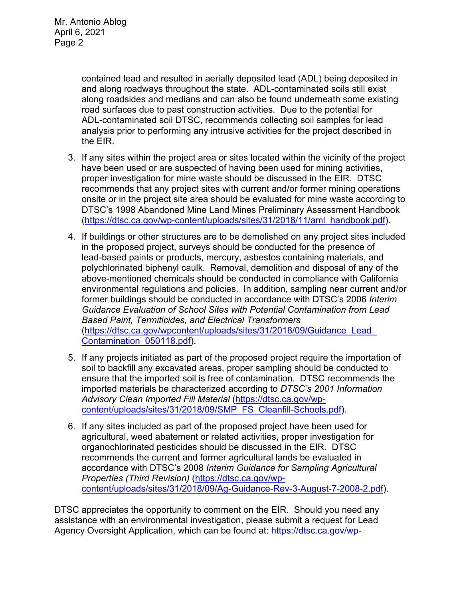contained lead and resulted in aerially deposited lead (ADL) being deposited in and along roadways throughout the state. ADL-contaminated soils still exist along roadsides and medians and can also be found underneath some existing road surfaces due to past construction activities. Due to the potential for ADL-contaminated soil DTSC, recommends collecting soil samples for lead analysis prior to performing any intrusive activities for the project described in the EIR.

- 3. If any sites within the project area or sites located within the vicinity of the project have been used or are suspected of having been used for mining activities, proper investigation for mine waste should be discussed in the EIR. DTSC recommends that any project sites with current and/or former mining operations onsite or in the project site area should be evaluated for mine waste according to DTSC's 1998 Abandoned Mine Land Mines Preliminary Assessment Handbook (https://dtsc.ca.gov/wp-content/uploads/sites/31/2018/11/aml\_handbook.pdf).
- 4. If buildings or other structures are to be demolished on any project sites included in the proposed project, surveys should be conducted for the presence of lead-based paints or products, mercury, asbestos containing materials, and polychlorinated biphenyl caulk. Removal, demolition and disposal of any of the above-mentioned chemicals should be conducted in compliance with California environmental regulations and policies. In addition, sampling near current and/or former buildings should be conducted in accordance with DTSC's 2006 *Interim Guidance Evaluation of School Sites with Potential Contamination from Lead Based Paint, Termiticides, and Electrical Transformers*  (https://dtsc.ca.gov/wpcontent/uploads/sites/31/2018/09/Guidance\_Lead\_ Contamination\_050118.pdf).
- 5. If any projects initiated as part of the proposed project require the importation of soil to backfill any excavated areas, proper sampling should be conducted to ensure that the imported soil is free of contamination. DTSC recommends the imported materials be characterized according to *DTSC's 2001 Information Advisory Clean Imported Fill Material* (https://dtsc.ca.gov/wpcontent/uploads/sites/31/2018/09/SMP\_FS\_Cleanfill-Schools.pdf).
- 6. If any sites included as part of the proposed project have been used for agricultural, weed abatement or related activities, proper investigation for organochlorinated pesticides should be discussed in the EIR. DTSC recommends the current and former agricultural lands be evaluated in accordance with DTSC's 2008 *Interim Guidance for Sampling Agricultural Properties (Third Revision)* (https://dtsc.ca.gov/wpcontent/uploads/sites/31/2018/09/Ag-Guidance-Rev-3-August-7-2008-2.pdf).

DTSC appreciates the opportunity to comment on the EIR. Should you need any assistance with an environmental investigation, please submit a request for Lead Agency Oversight Application, which can be found at: https://dtsc.ca.gov/wp